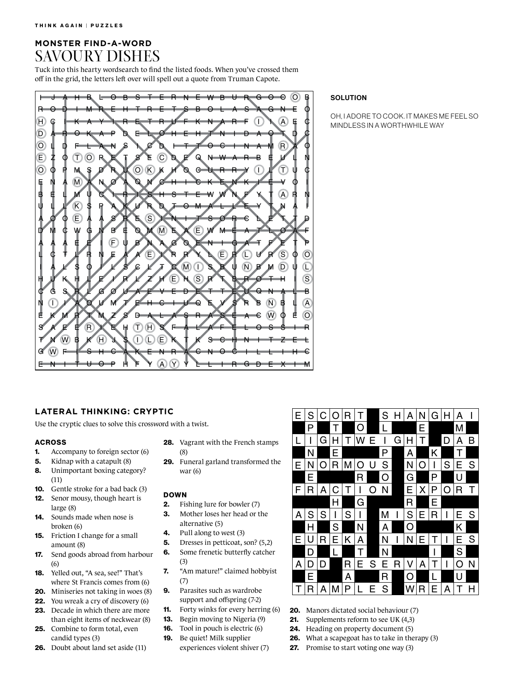# **MONSTER FIND-A-WORD** SAVOURY DISHES

Tuck into this hearty wordsearch to find the listed foods. When you've crossed them off in the grid, the letters left over will spell out a quote from Truman Capote.



# **SOLUTION**

OH, I ADORE TO COOK. IT MAKES ME FEEL SO MINDLESS IN A WORTHWHILE WAY

## **LATERAL THINKING: CRYPTIC**

Use the cryptic clues to solve this crossword with a twist.

#### ACROSS

- 1. Accompany to foreign sector (6)
- **5.** Kidnap with a catapult (8)
- 8. Unimportant boxing category? (11)
- 10. Gentle stroke for a bad back (3) 12. Senor mousy, though heart is large (8)
- 14. Sounds made when nose is broken (6)
- 15. Friction I change for a small amount (8)
- 17. Send goods abroad from harbour (6)
- 18. Yelled out, "A sea, see!" That's where St Francis comes from (6)
- 20. Miniseries not taking in woes (8)
- 22. You wreak a cry of discovery (6)
- 23. Decade in which there are more than eight items of neckwear (8)
- 25. Combine to form total, even candid types (3)
- 26. Doubt about land set aside (11)
- **28.** Vagrant with the French stamps (8)
- 29. Funeral garland transformed the war (6)

### DOWN

- **2.** Fishing lure for bowler (7)
- 3. Mother loses her head or the
- alternative (5) 4. Pull along to west (3)
- 5. Dresses in petticoat, son? (5,2)
- 6. Some frenetic butterfly catcher
	- (3)
- 7. "Am mature!" claimed hobbyist (7)
- 9. Parasites such as wardrobe support and offspring (7-2)
- 11. Forty winks for every herring (6)
- 13. Begin moving to Nigeria (9)
- 16. Tool in pouch is electric (6)
- 19. Be quiet! Milk supplier experiences violent shiver (7)



- 20. Manors dictated social behaviour (7)
- 21. Supplements reform to see UK (4,3)
- 24. Heading on property document (5)
- 26. What a scapegoat has to take in therapy (3)
- 27. Promise to start voting one way (3)